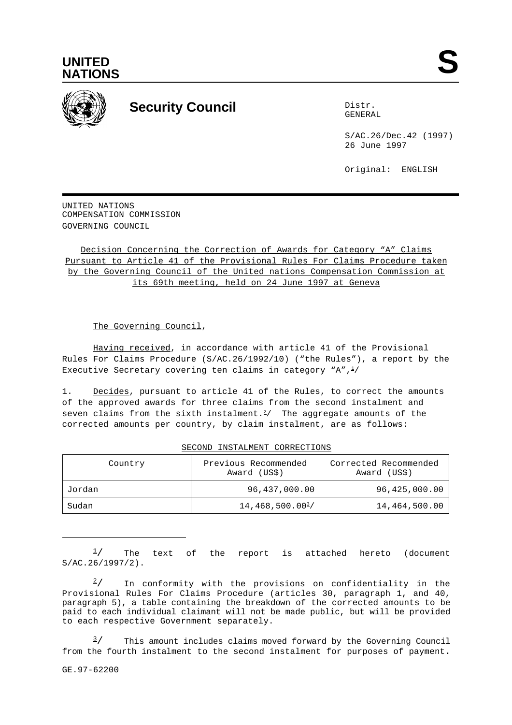



## **Security Council** Distribution Distribution

GENERAL

S/AC.26/Dec.42 (1997) 26 June 1997

Original: ENGLISH

UNITED NATIONS COMPENSATION COMMISSION GOVERNING COUNCIL

Decision Concerning the Correction of Awards for Category "A" Claims Pursuant to Article 41 of the Provisional Rules For Claims Procedure taken by the Governing Council of the United nations Compensation Commission at its 69th meeting, held on 24 June 1997 at Geneva

The Governing Council,

Having received, in accordance with article 41 of the Provisional Rules For Claims Procedure (S/AC.26/1992/10) ("the Rules"), a report by the Executive Secretary covering ten claims in category "A", $\frac{1}{2}$ 

1. Decides, pursuant to article 41 of the Rules, to correct the amounts of the approved awards for three claims from the second instalment and seven claims from the sixth instalment.<sup>2</sup>/ The aggregate amounts of the corrected amounts per country, by claim instalment, are as follows:

| Country | Previous Recommended<br>Award (US\$) | Corrected Recommended<br>Award (US\$) |  |
|---------|--------------------------------------|---------------------------------------|--|
| Jordan  | 96,437,000.00                        | 96,425,000.00                         |  |
| Sudan   | $14,468,500.00^{3}$                  | 14,464,500.00                         |  |

SECOND INSTALMENT CORRECTIONS

The text of the report is attached hereto (document  $\frac{1}{2}$ S/AC.26/1997/2).

In conformity with the provisions on confidentiality in the  $\frac{2}{ }$ Provisional Rules For Claims Procedure (articles 30, paragraph 1, and 40, paragraph 5), a table containing the breakdown of the corrected amounts to be paid to each individual claimant will not be made public, but will be provided to each respective Government separately.

This amount includes claims moved forward by the Governing Council  $\frac{3}{2}$ from the fourth instalment to the second instalment for purposes of payment.

GE.97-62200